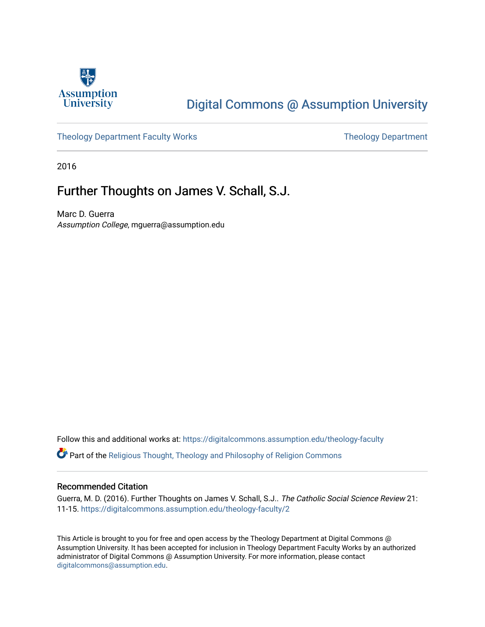

# [Digital Commons @ Assumption University](https://digitalcommons.assumption.edu/)

#### [Theology Department Faculty Works](https://digitalcommons.assumption.edu/theology-faculty) Theology Department

2016

## Further Thoughts on James V. Schall, S.J.

Marc D. Guerra Assumption College, mguerra@assumption.edu

Follow this and additional works at: [https://digitalcommons.assumption.edu/theology-faculty](https://digitalcommons.assumption.edu/theology-faculty?utm_source=digitalcommons.assumption.edu%2Ftheology-faculty%2F2&utm_medium=PDF&utm_campaign=PDFCoverPages) 

Part of the [Religious Thought, Theology and Philosophy of Religion Commons](http://network.bepress.com/hgg/discipline/544?utm_source=digitalcommons.assumption.edu%2Ftheology-faculty%2F2&utm_medium=PDF&utm_campaign=PDFCoverPages) 

#### Recommended Citation

Guerra, M. D. (2016). Further Thoughts on James V. Schall, S.J.. The Catholic Social Science Review 21: 11-15. [https://digitalcommons.assumption.edu/theology-faculty/2](https://digitalcommons.assumption.edu/theology-faculty/2?utm_source=digitalcommons.assumption.edu%2Ftheology-faculty%2F2&utm_medium=PDF&utm_campaign=PDFCoverPages) 

This Article is brought to you for free and open access by the Theology Department at Digital Commons @ Assumption University. It has been accepted for inclusion in Theology Department Faculty Works by an authorized administrator of Digital Commons @ Assumption University. For more information, please contact [digitalcommons@assumption.edu](mailto:digitalcommons@assumption.edu).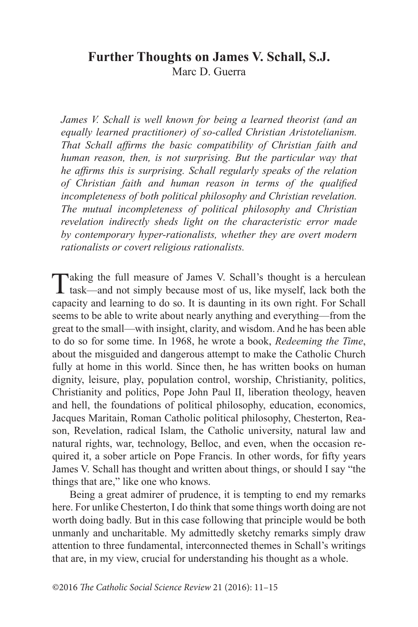### **Further Thoughts on James V. Schall, S.J.** Marc D. Guerra

*James V. Schall is well known for being a learned theorist (and an equally learned practitioner) of so-called Christian Aristotelianism. That Schall affirms the basic compatibility of Christian faith and human reason, then, is not surprising. But the particular way that he affirms this is surprising. Schall regularly speaks of the relation of Christian faith and human reason in terms of the qualified incompleteness of both political philosophy and Christian revelation. The mutual incompleteness of political philosophy and Christian revelation indirectly sheds light on the characteristic error made by contemporary hyper-rationalists, whether they are overt modern rationalists or covert religious rationalists.*

Taking the full measure of James V. Schall's thought is a herculean task—and not simply because most of us, like myself, lack both the capacity and learning to do so. It is daunting in its own right. For Schall seems to be able to write about nearly anything and everything—from the great to the small—with insight, clarity, and wisdom. And he has been able to do so for some time. In 1968, he wrote a book, *Redeeming the Time*, about the misguided and dangerous attempt to make the Catholic Church fully at home in this world. Since then, he has written books on human dignity, leisure, play, population control, worship, Christianity, politics, Christianity and politics, Pope John Paul II, liberation theology, heaven and hell, the foundations of political philosophy, education, economics, Jacques Maritain, Roman Catholic political philosophy, Chesterton, Reason, Revelation, radical Islam, the Catholic university, natural law and natural rights, war, technology, Belloc, and even, when the occasion required it, a sober article on Pope Francis. In other words, for fifty years James V. Schall has thought and written about things, or should I say "the things that are," like one who knows.

Being a great admirer of prudence, it is tempting to end my remarks here. For unlike Chesterton, I do think that some things worth doing are not worth doing badly. But in this case following that principle would be both unmanly and uncharitable. My admittedly sketchy remarks simply draw attention to three fundamental, interconnected themes in Schall's writings that are, in my view, crucial for understanding his thought as a whole.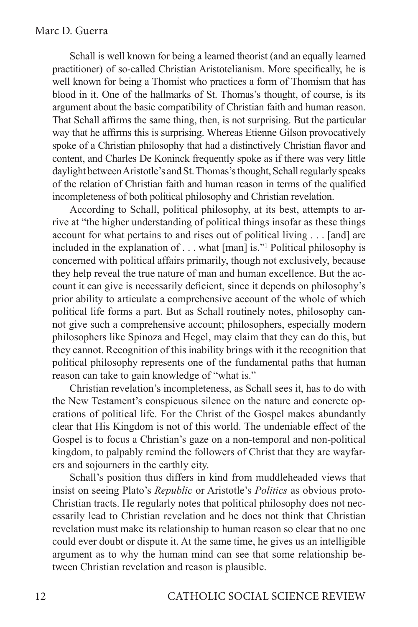Schall is well known for being a learned theorist (and an equally learned practitioner) of so-called Christian Aristotelianism. More specifically, he is well known for being a Thomist who practices a form of Thomism that has blood in it. One of the hallmarks of St. Thomas's thought, of course, is its argument about the basic compatibility of Christian faith and human reason. That Schall affirms the same thing, then, is not surprising. But the particular way that he affirms this is surprising. Whereas Etienne Gilson provocatively spoke of a Christian philosophy that had a distinctively Christian flavor and content, and Charles De Koninck frequently spoke as if there was very little daylight between Aristotle's and St. Thomas's thought, Schall regularly speaks of the relation of Christian faith and human reason in terms of the qualified incompleteness of both political philosophy and Christian revelation.

According to Schall, political philosophy, at its best, attempts to arrive at "the higher understanding of political things insofar as these things account for what pertains to and rises out of political living . . . [and] are included in the explanation of . . . what [man] is."1 Political philosophy is concerned with political affairs primarily, though not exclusively, because they help reveal the true nature of man and human excellence. But the account it can give is necessarily deficient, since it depends on philosophy's prior ability to articulate a comprehensive account of the whole of which political life forms a part. But as Schall routinely notes, philosophy cannot give such a comprehensive account; philosophers, especially modern philosophers like Spinoza and Hegel, may claim that they can do this, but they cannot. Recognition of this inability brings with it the recognition that political philosophy represents one of the fundamental paths that human reason can take to gain knowledge of "what is."

Christian revelation's incompleteness, as Schall sees it, has to do with the New Testament's conspicuous silence on the nature and concrete operations of political life. For the Christ of the Gospel makes abundantly clear that His Kingdom is not of this world. The undeniable effect of the Gospel is to focus a Christian's gaze on a non-temporal and non-political kingdom, to palpably remind the followers of Christ that they are wayfarers and sojourners in the earthly city.

Schall's position thus differs in kind from muddleheaded views that insist on seeing Plato's *Republic* or Aristotle's *Politics* as obvious proto-Christian tracts. He regularly notes that political philosophy does not necessarily lead to Christian revelation and he does not think that Christian revelation must make its relationship to human reason so clear that no one could ever doubt or dispute it. At the same time, he gives us an intelligible argument as to why the human mind can see that some relationship between Christian revelation and reason is plausible.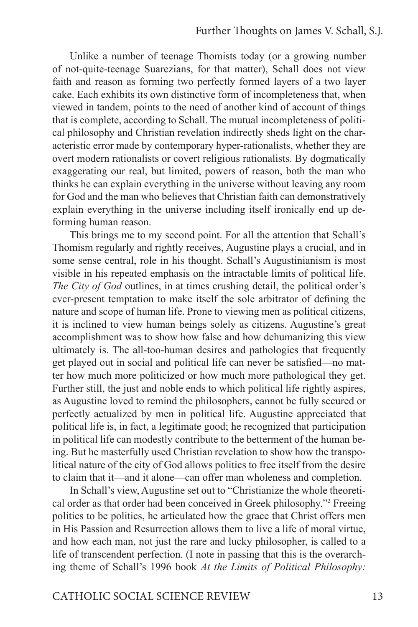Unlike a number of teenage Thomists today (or a growing number of not-quite-teenage Suarezians, for that matter), Schall does not view faith and reason as forming two perfectly formed layers of a two layer cake. Each exhibits its own distinctive form of incompleteness that, when viewed in tandem, points to the need of another kind of account of things that is complete, according to Schall. The mutual incompleteness of political philosophy and Christian revelation indirectly sheds light on the characteristic error made by contemporary hyper-rationalists, whether they are overt modern rationalists or covert religious rationalists. By dogmatically exaggerating our real, but limited, powers of reason, both the man who thinks he can explain everything in the universe without leaving any room for God and the man who believes that Christian faith can demonstratively explain everything in the universe including itself ironically end up deforming human reason.

This brings me to my second point. For all the attention that Schall's Thomism regularly and rightly receives, Augustine plays a crucial, and in some sense central, role in his thought. Schall's Augustinianism is most visible in his repeated emphasis on the intractable limits of political life. *The City of God* outlines, in at times crushing detail, the political order's ever-present temptation to make itself the sole arbitrator of defining the nature and scope of human life. Prone to viewing men as political citizens, it is inclined to view human beings solely as citizens. Augustine's great accomplishment was to show how false and how dehumanizing this view ultimately is. The all-too-human desires and pathologies that frequently get played out in social and political life can never be satisfied—no matter how much more politicized or how much more pathological they get. Further still, the just and noble ends to which political life rightly aspires, as Augustine loved to remind the philosophers, cannot be fully secured or perfectly actualized by men in political life. Augustine appreciated that political life is, in fact, a legitimate good; he recognized that participation in political life can modestly contribute to the betterment of the human being. But he masterfully used Christian revelation to show how the transpolitical nature of the city of God allows politics to free itself from the desire to claim that it—and it alone—can offer man wholeness and completion.

In Schall's view, Augustine set out to "Christianize the whole theoretical order as that order had been conceived in Greek philosophy."2 Freeing politics to be politics, he articulated how the grace that Christ offers men in His Passion and Resurrection allows them to live a life of moral virtue, and how each man, not just the rare and lucky philosopher, is called to a life of transcendent perfection. (I note in passing that this is the overarching theme of Schall's 1996 book *At the Limits of Political Philosophy:*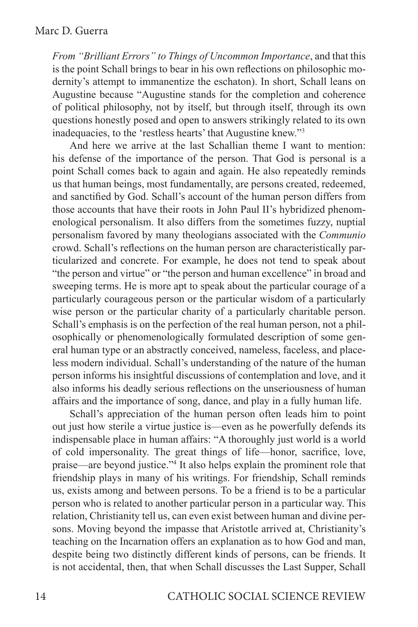*From "Brilliant Errors" to Things of Uncommon Importance*, and that this is the point Schall brings to bear in his own reflections on philosophic modernity's attempt to immanentize the eschaton). In short, Schall leans on Augustine because "Augustine stands for the completion and coherence of political philosophy, not by itself, but through itself, through its own questions honestly posed and open to answers strikingly related to its own inadequacies, to the 'restless hearts' that Augustine knew."3

And here we arrive at the last Schallian theme I want to mention: his defense of the importance of the person. That God is personal is a point Schall comes back to again and again. He also repeatedly reminds us that human beings, most fundamentally, are persons created, redeemed, and sanctified by God. Schall's account of the human person differs from those accounts that have their roots in John Paul II's hybridized phenomenological personalism. It also differs from the sometimes fuzzy, nuptial personalism favored by many theologians associated with the *Communio* crowd. Schall's reflections on the human person are characteristically particularized and concrete. For example, he does not tend to speak about "the person and virtue" or "the person and human excellence" in broad and sweeping terms. He is more apt to speak about the particular courage of a particularly courageous person or the particular wisdom of a particularly wise person or the particular charity of a particularly charitable person. Schall's emphasis is on the perfection of the real human person, not a philosophically or phenomenologically formulated description of some general human type or an abstractly conceived, nameless, faceless, and placeless modern individual. Schall's understanding of the nature of the human person informs his insightful discussions of contemplation and love, and it also informs his deadly serious reflections on the unseriousness of human affairs and the importance of song, dance, and play in a fully human life.

Schall's appreciation of the human person often leads him to point out just how sterile a virtue justice is—even as he powerfully defends its indispensable place in human affairs: "A thoroughly just world is a world of cold impersonality. The great things of life—honor, sacrifice, love, praise—are beyond justice."4 It also helps explain the prominent role that friendship plays in many of his writings. For friendship, Schall reminds us, exists among and between persons. To be a friend is to be a particular person who is related to another particular person in a particular way. This relation, Christianity tell us, can even exist between human and divine persons. Moving beyond the impasse that Aristotle arrived at, Christianity's teaching on the Incarnation offers an explanation as to how God and man, despite being two distinctly different kinds of persons, can be friends. It is not accidental, then, that when Schall discusses the Last Supper, Schall